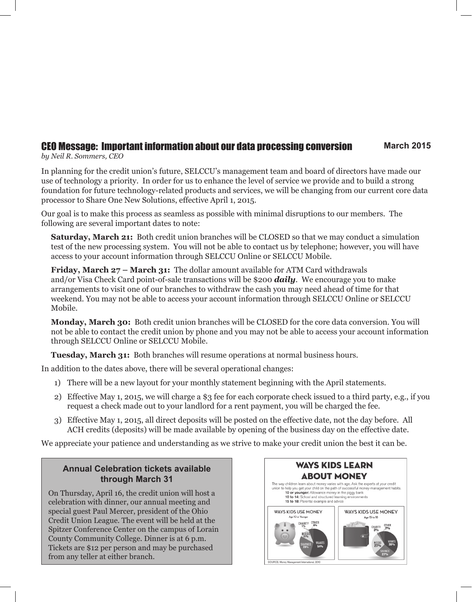# CEO Message: Important information about our data processing conversion **March 2015**

*by Neil R. Sommers, CEO*

In planning for the credit union's future, SELCCU's management team and board of directors have made our use of technology a priority. In order for us to enhance the level of service we provide and to build a strong foundation for future technology-related products and services, we will be changing from our current core data processor to Share One New Solutions, effective April 1, 2015.

Our goal is to make this process as seamless as possible with minimal disruptions to our members. The following are several important dates to note:

**Saturday, March 21:** Both credit union branches will be CLOSED so that we may conduct a simulation test of the new processing system. You will not be able to contact us by telephone; however, you will have access to your account information through SELCCU Online or SELCCU Mobile.

**Friday, March 27 – March 31:** The dollar amount available for ATM Card withdrawals and/or Visa Check Card point-of-sale transactions will be \$200 *daily*. We encourage you to make arrangements to visit one of our branches to withdraw the cash you may need ahead of time for that weekend. You may not be able to access your account information through SELCCU Online or SELCCU Mobile.

**Monday, March 30:** Both credit union branches will be CLOSED for the core data conversion. You will not be able to contact the credit union by phone and you may not be able to access your account information through SELCCU Online or SELCCU Mobile.

**Tuesday, March 31:** Both branches will resume operations at normal business hours.

In addition to the dates above, there will be several operational changes:

- 1) There will be a new layout for your monthly statement beginning with the April statements.
- 2) Effective May 1, 2015, we will charge a \$3 fee for each corporate check issued to a third party, e.g., if you request a check made out to your landlord for a rent payment, you will be charged the fee.
- 3) Effective May 1, 2015, all direct deposits will be posted on the effective date, not the day before. All ACH credits (deposits) will be made available by opening of the business day on the effective date.

We appreciate your patience and understanding as we strive to make your credit union the best it can be.

#### **Annual Celebration tickets available through March 31**

On Thursday, April 16, the credit union will host a celebration with dinner, our annual meeting and special guest Paul Mercer, president of the Ohio Credit Union League. The event will be held at the Spitzer Conference Center on the campus of Lorain County Community College. Dinner is at 6 p.m. Tickets are \$12 per person and may be purchased from any teller at either branch.